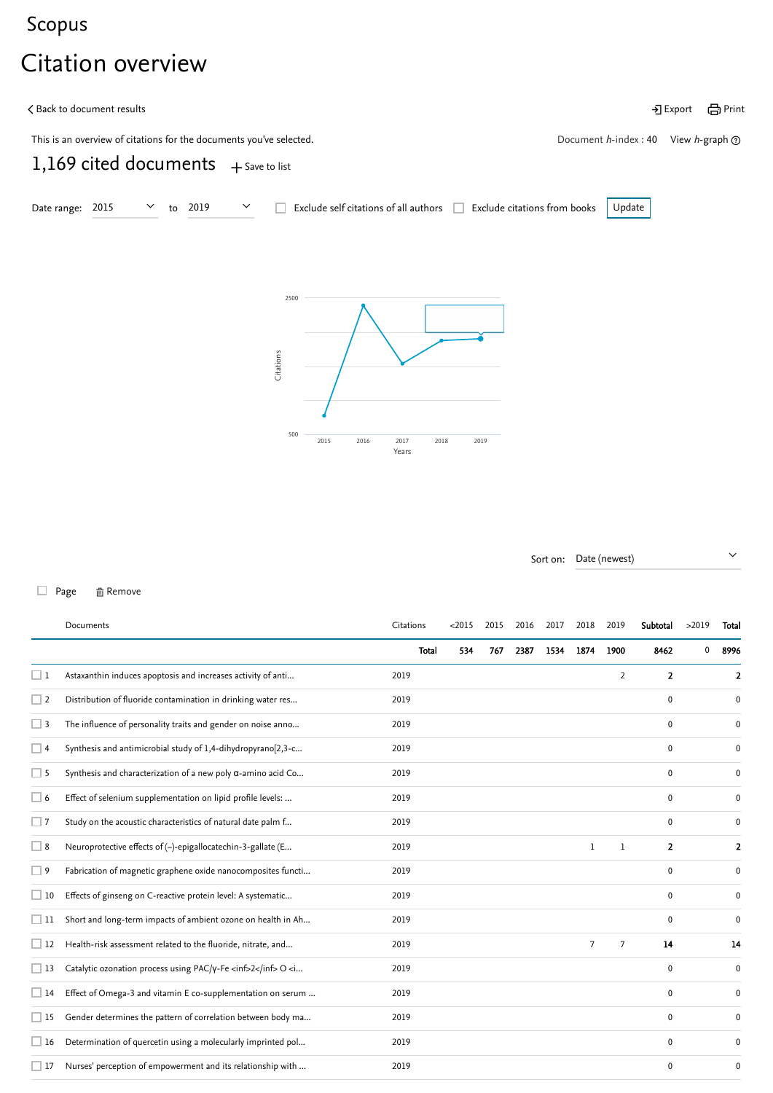## <span id="page-0-1"></span>[Scopus](https://www.scopus.com/home.uri?zone=header&origin=searchbasic)

## Citation overview

| く Back to document results                                          |                                                             | •] Export 日 Print |
|---------------------------------------------------------------------|-------------------------------------------------------------|-------------------|
| This is an overview of citations for the documents you've selected. | Document <i>h</i> -index : 40 View <i>h</i> -graph $\Omega$ |                   |
| 1,169 cited documents $+$ Save to list                              |                                                             |                   |





Sort on: Date (newest)  $\vee$ 

## □ Page 面 Remove

<span id="page-0-0"></span>

|             | Documents                                                                                                                                                                                               | Citations |       | < 2015 | 2015 | 2016 | 2017 | 2018 | 2019           | Subtotal       | >2019 | Total            |
|-------------|---------------------------------------------------------------------------------------------------------------------------------------------------------------------------------------------------------|-----------|-------|--------|------|------|------|------|----------------|----------------|-------|------------------|
|             |                                                                                                                                                                                                         |           | Total | 534    | 767  | 2387 | 1534 | 1874 | 1900           | 8462           | 0     | 8996             |
| $\Box$ 1    | Astaxanthin induces apoptosis and increases activity of anti                                                                                                                                            | 2019      |       |        |      |      |      |      | $\overline{2}$ | $\overline{2}$ |       | 2                |
| $\Box$ 2    | Distribution of fluoride contamination in drinking water res                                                                                                                                            | 2019      |       |        |      |      |      |      |                | $\mathbf 0$    |       | 0                |
| $\square$ 3 | The influence of personality traits and gender on noise anno                                                                                                                                            | 2019      |       |        |      |      |      |      |                | 0              |       | 0                |
| $\Box$ 4    | Synthesis and antimicrobial study of 1,4-dihydropyrano[2,3-c                                                                                                                                            | 2019      |       |        |      |      |      |      |                | 0              |       | 0                |
| $\Box$ 5    | Synthesis and characterization of a new poly $\alpha$ -amino acid Co                                                                                                                                    | 2019      |       |        |      |      |      |      |                | $\mathbf 0$    |       | 0                |
| $\Box$ 6    | Effect of selenium supplementation on lipid profile levels:                                                                                                                                             | 2019      |       |        |      |      |      |      |                | 0              |       | 0                |
| $\Box$ 7    | Study on the acoustic characteristics of natural date palm f                                                                                                                                            | 2019      |       |        |      |      |      |      |                | 0              |       | 0                |
| $\square$ 8 | Neuroprotective effects of (-)-epigallocatechin-3-gallate (E                                                                                                                                            | 2019      |       |        |      |      |      | 1    | 1              | 2              |       | 2                |
| $\square$ 9 | Fabrication of magnetic graphene oxide nanocomposites functi                                                                                                                                            | 2019      |       |        |      |      |      |      |                | $\mathbf 0$    |       | 0                |
| $\Box$ 10   | Effects of ginseng on C-reactive protein level: A systematic                                                                                                                                            | 2019      |       |        |      |      |      |      |                | 0              |       | $\mathbf 0$      |
| $\Box$ 11   | Short and long-term impacts of ambient ozone on health in Ah                                                                                                                                            | 2019      |       |        |      |      |      |      |                | 0              |       | $\boldsymbol{0}$ |
| $\Box$ 12   | Health-risk assessment related to the fluoride, nitrate, and                                                                                                                                            | 2019      |       |        |      |      |      | 7    | 7              | 14             |       | 14               |
| $\Box$ 13   | Catalytic ozonation process using PAC/Y-Fe <inf>2</inf> O <i< td=""><td>2019</td><td></td><td></td><td></td><td></td><td></td><td></td><td></td><td>0</td><td></td><td><math>\mathbf 0</math></td></i<> | 2019      |       |        |      |      |      |      |                | 0              |       | $\mathbf 0$      |
| $\Box$ 14   | Effect of Omega-3 and vitamin E co-supplementation on serum                                                                                                                                             | 2019      |       |        |      |      |      |      |                | 0              |       | 0                |
| $\Box$ 15   | Gender determines the pattern of correlation between body ma                                                                                                                                            | 2019      |       |        |      |      |      |      |                | 0              |       | 0                |
| $\Box$ 16   | Determination of quercetin using a molecularly imprinted pol                                                                                                                                            | 2019      |       |        |      |      |      |      |                | 0              |       | 0                |
| $\Box$ 17   | Nurses' perception of empowerment and its relationship with                                                                                                                                             | 2019      |       |        |      |      |      |      |                | 0              |       | 0                |